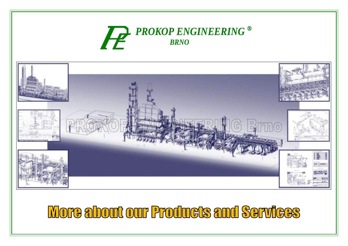## *PROKOP ENGINEERING BRNO*



# **More about our Products and Services**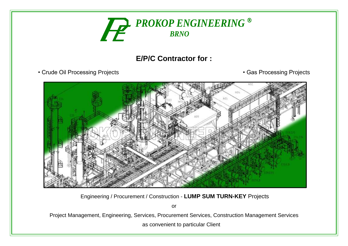

## **E/P/C Contractor for :**

- Crude Oil Processing Projects Gas Processing Projects
- 



Engineering / Procurement / Construction - **LUMP SUM TURN-KEY** Projects

or

Project Management, Engineering, Services, Procurement Services, Construction Management Services

as convenient to particular Client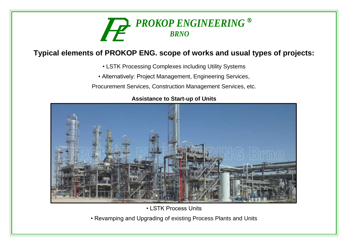

### **Typical elements of PROKOP ENG. scope of works and usual types of projects:**

- LSTK Processing Complexes including Utility Systems
- Alternatively: Project Management, Engineering Services,
- Procurement Services, Construction Management Services, etc.



#### **Assistance to Start-up of Units**

• LSTK Process Units

• Revamping and Upgrading of existing Process Plants and Units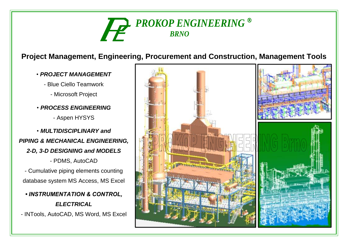

## **Project Management, Engineering, Procurement and Construction, Management Tools**

- *PROJECT MANAGEMENT*
	- Blue Ciello Teamwork
		- Microsoft Project
- *PROCESS ENGINEERING*
	- Aspen HYSYS
- *MULTIDISCIPLINARY and PIPING & MECHANICAL ENGINEERING, 2-D, 3-D DESIGNING and MODELS* - PDMS, AutoCAD
	- Cumulative piping elements counting database system MS Access, MS Excel
	- *INSTRUMENTATION & CONTROL, ELECTRICAL*
- INTools, AutoCAD, MS Word, MS Excel

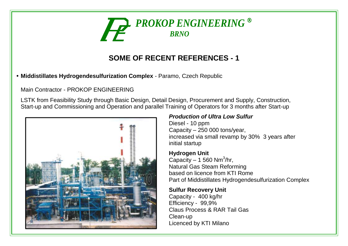

**• Middistillates Hydrogendesulfurization Complex** - Paramo, Czech Republic

Main Contractor - PROKOP ENGINEERING

LSTK from Feasibility Study through Basic Design, Detail Design, Procurement and Supply, Construction, Start-up and Commissioning and Operation and parallel Training of Operators for 3 months after Start-up



#### *Production of Ultra Low Sulfur*

Diesel - 10 ppm Capacity – 250 000 tons/year, increased via small revamp by 30% 3 years after initial startup

#### **Hydrogen Unit**

Capacity  $-1$  560 Nm<sup>3</sup>/hr, Natural Gas Steam Reforming based on licence from KTI Rome Part of Middistillates Hydrogendesulfurization Complex

#### **Sulfur Recovery Unit**

Capacity - 400 kg/hr Efficiency - 99,9% Claus Process & RAR Tail Gas Clean-up Licenced by KTI Milano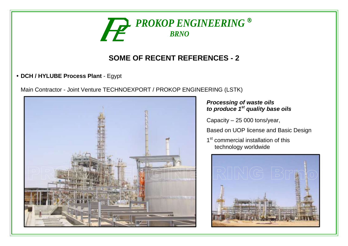

**• DCH / HYLUBE Process Plant** - Egypt

Main Contractor - Joint Venture TECHNOEXPORT / PROKOP ENGINEERING (LSTK)



#### *Processing of waste oils to produce 1st quality base oils*

Capacity – 25 000 tons/year,

Based on UOP license and Basic Design

1<sup>st</sup> commercial installation of this technology worldwide

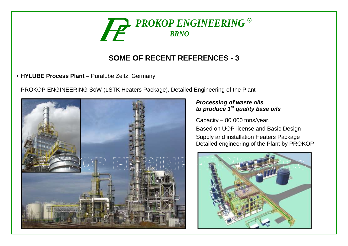

**• HYLUBE Process Plant** – Puralube Zeitz, Germany

PROKOP ENGINEERING SoW (LSTK Heaters Package), Detailed Engineering of the Plant



#### *Processing of waste oils to produce 1st quality base oils*

Capacity – 80 000 tons/year,

Based on UOP license and Basic Design

Supply and installation Heaters Package Detailed engineering of the Plant by PROKOP

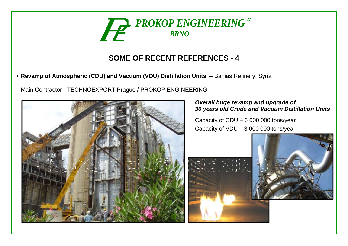

**• Revamp of Atmospheric (CDU) and Vacuum (VDU) Distillation Units** – Banias Refinery, Syria

Main Contractor - TECHNOEXPORT Prague / PROKOP ENGINEERING



#### *Overall huge revamp and upgrade of 30 years old Crude and Vacuum Distillation Units*

Capacity of CDU – 6 000 000 tons/year Capacity of VDU – 3 000 000 tons/year

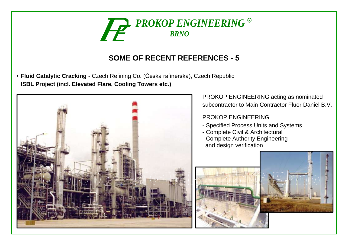

**• Fluid Catalytic Cracking** - Czech Refining Co. (Česká rafinérská), Czech Republic **ISBL Project (incl. Elevated Flare, Cooling Towers etc.)**



PROKOP ENGINEERING acting as nominated subcontractor to Main Contractor Fluor Daniel B.V.

#### PROKOP ENGINEERING

- Specified Process Units and Systems
- Complete Civil & Architectural
- Complete Authority Engineering and design verification

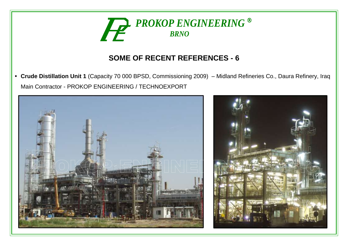

**• Crude Distillation Unit 1** (Capacity 70 000 BPSD, Commissioning 2009) – Midland Refineries Co., Daura Refinery, Iraq Main Contractor - PROKOP ENGINEERING / TECHNOEXPORT



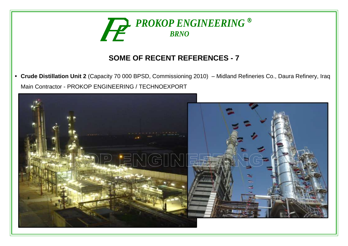

**• Crude Distillation Unit 2** (Capacity 70 000 BPSD, Commissioning 2010) – Midland Refineries Co., Daura Refinery, Iraq Main Contractor - PROKOP ENGINEERING / TECHNOEXPORT

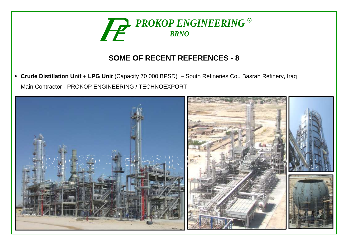

**• Crude Distillation Unit + LPG Unit** (Capacity 70 000 BPSD) – South Refineries Co., Basrah Refinery, Iraq Main Contractor - PROKOP ENGINEERING / TECHNOEXPORT